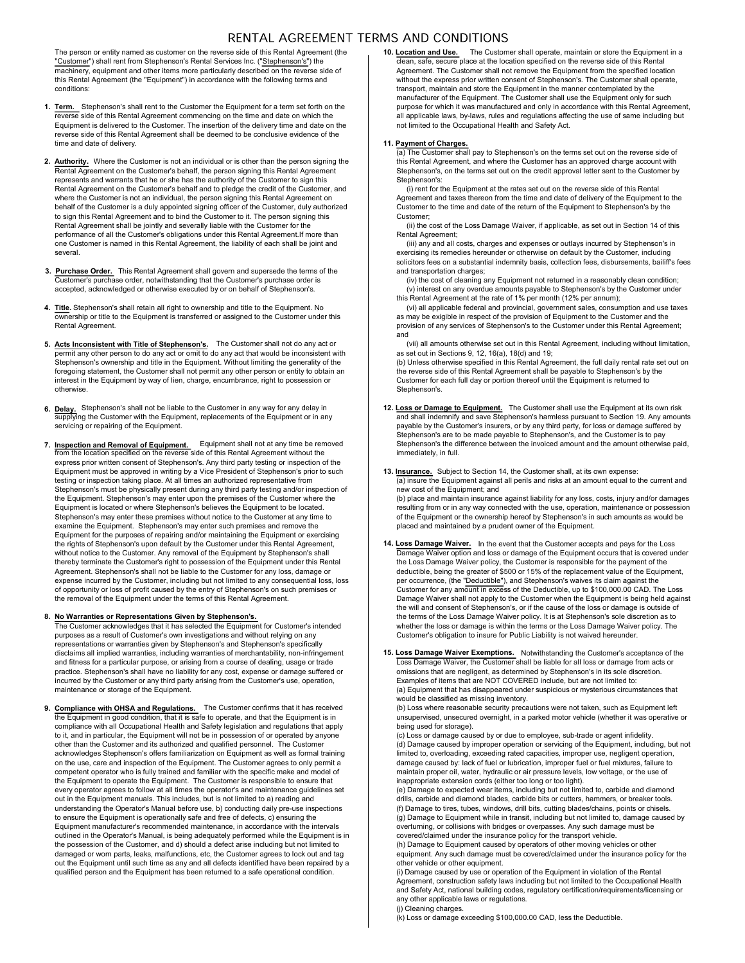# RENTAL AGREEMENT TERMS AND CONDITIONS

The person or entity named as customer on the reverse side of this Rental Agreement (the "Customer") shall rent from Stephenson's Rental Services Inc. ("Stephenson's") the machinery, equipment and other items more particularly described on the reverse side of this Rental Agreement (the "Equipment") in accordance with the following terms and conditions:

- 1. Term. Stephenson's shall rent to the Customer the Equipment for a term set forth on the purpose for which it was manufactured and only in a reverse side of this Rental Agreement commencing on the time and date on which the Equipment is delivered to the Customer. The insertion of the delivery time and date on the reverse side of this Rental Agreement shall be deemed to be conclusive evidence of the time and date of delivery.
- 2. Authority. Where the Customer is not an individual or is other than the person signing the the Sental Agreement, and where the Customer has Rental Agreement on the Customer's behalf, the person signing this Rental Agreement represents and warrants that he or she has the authority of the Customer to sign this Rental Agreement on the Customer's behalf and to pledge the credit of the Customer, and where the Customer is not an individual, the person signing this Rental Agreement on behalf of the Customer is a duly appointed signing officer of the Customer, duly authorized to sign this Rental Agreement and to bind the Customer to it. The person signing this Rental Agreement shall be jointly and severally liable with the Customer for the performance of all the Customer's obligations under this Rental Agreement.If more than one Customer is named in this Rental Agreement, the liability of each shall be joint and several.
- 3. Purchase Order. This Rental Agreement shall govern and supersede the terms of the and transportation charges; Customer's purchase order, notwithstanding that the Customer's purchase order is accepted, acknowledged or otherwise executed by or on behalf of Stephenson's.
- **4. Title.** Stephenson's shall retain all right to ownership and title to the Equipment. No (vi) all applicable federal and provincial, g ownership or title to the Equipment is transferred or assigned to the Customer under this Rental Agreement.
- Journal of Stephenson's. The Customer shall not do any act or any act or (vii) all amounts otherwise set out in this Rental permit any other person to do any act or omit to do any act that would be inconsistent with any as Stephenson's ownership and title in the Equipment. Without limiting the generality of the foregoing statement, the Customer shall not permit any other person or entity to obtain an interest in the Equipment by way of lien, charge, encumbrance, right to possession or otherwise.
- 6. Delay. Stephenson's shall not be liable to the Customer in any way for any delay in **12.** Loss or Damage to Equipment. The Custor upplying the Customer with the Equipment, replacements of the Equipment or in any servicing or repairing of the Equipment.
- 7. Inspection and Removal of Equipment. Equipment shall not at any time be removed Stephenson's the difference between the inverse side of this Rental Agreement without the from the location specified on the reverse side o express prior written consent of Stephenson's. Any third party testing or inspection of the Equipment must be approved in writing by a Vice President of Stephenson's prior to such testing or inspection taking place. At all times an authorized representative from Stephenson's must be physically present during any third party testing and/or inspection of the Equipment. Stephenson's may enter upon the premises of the Customer where the Equipment is located or where Stephenson's believes the Equipment to be located. Stephenson's may enter these premises without notice to the Customer at any time to examine the Equipment. Stephenson's may enter such premises and remove the Equipment for the purposes of repairing and/or maintaining the Equipment or exercising the rights of Stephenson's upon default by the Customer under this Rental Agreement, without notice to the Customer. Any removal of the Equipment by Stephenson's shall thereby terminate the Customer's right to possession of the Equipment under this Rental Agreement. Stephenson's shall not be liable to the Customer for any loss, damage or expense incurred by the Customer, including but not limited to any consequential loss, loss of opportunity or loss of profit caused by the entry of Stephenson's on such premises or the removal of the Equipment under the terms of this Rental Agreement.

# 8. No Warranties or Representations Given by Stephenson's.

The Customer acknowledges that it has selected the Equipment for Customer's intended purposes as a result of Customer's own investigations and without relying on any representations or warranties given by Stephenson's and Stephenson's specifically disclaims all implied warranties, including warranties of merchantability, non-infringement and fitness for a particular purpose, or arising from a course of dealing, usage or trade practice. Stephenson's shall have no liability for any cost, expense or damage suffered or same a comissions that are negli<br>incurred by the Customer or any third party arising from the Customer's use, operation, same a sex maintenance or storage of the Equipment.

or the Equipment in good condition, that it is customer confirms that it has received (b) Loss where reasonable security precautions where reasonable security precautions where reasonable security precautions where the Equ compliance with all Occupational Health and Safety legislation and regulations that apply to it, and in particular, the Equipment will not be in possession of or operated by anyone other than the Customer and its authorized and qualified personnel. The Customer acknowledges Stephenson's offers familiarization on Equipment as well as formal training on the use, care and inspection of the Equipment. The Customer agrees to only permit a competent operator who is fully trained and familiar with the specific make and model of the Equipment to operate the Equipment. The Customer is responsible to ensure that every operator agrees to follow at all times the operator's and maintenance guidelines set out in the Equipment manuals. This includes, but is not limited to a) reading and understanding the Operator's Manual before use, b) conducting daily pre-use inspections to ensure the Equipment is operationally safe and free of defects, c) ensuring the Equipment manufacturer's recommended maintenance, in accordance with the intervals outlined in the Operator's Manual, is being adequately performed while the Equipment is in the possession of the Customer, and d) should a defect arise including but not limited to damaged or worn parts, leaks, malfunctions, etc, the Customer agrees to lock out and tag out the Equipment until such time as any and all defects identified have been repaired by a qualified person and the Equipment has been returned to a safe operational condition.

10. Location and Use. The Customer shall operate, maintain or store the Equipment in a clean, safe, secure place at the location specified on the reverse side of this Rental Agreement. The Customer shall not remove the Equipment from the specified location without the express prior written consent of Stephenson's. The Customer shall operate, transport, maintain and store the Equipment in the manner contemplated by the manufacturer of the Equipment. The Customer shall use the Equipment only for such purpose for which it was manufactured and only in accordance with this Rental Agreement, all applicable laws, by-laws, rules and regulations affecting the use of same including but not limited to the Occupational Health and Safety Act.

**11. <u>Payment of Charges.</u>**<br>(a) The Customer shall pay to Stephenson's on the terms set out on the reverse side of this Rental Agreement, and where the Customer has an approved charge account with Stephenson's, on the terms set out on the credit approval letter sent to the Customer by Stephenson's:

(i) rent for the Equipment at the rates set out on the reverse side of this Rental Agreement and taxes thereon from the time and date of delivery of the Equipment to the Customer to the time and date of the return of the Equipment to Stephenson's by the Customer;

(ii) the cost of the Loss Damage Waiver, if applicable, as set out in Section 14 of this Rental Agreement;

(iii) any and all costs, charges and expenses or outlays incurred by Stephenson's in exercising its remedies hereunder or otherwise on default by the Customer, including solicitors fees on a substantial indemnity basis, collection fees, disbursements, bailiff's fees and transportation charges:

(iv) the cost of cleaning any Equipment not returned in a reasonably clean condition; (v) interest on any overdue amounts payable to Stephenson's by the Customer under this Rental Agreement at the rate of 1% per month (12% per annum);

(vi) all applicable federal and provincial, government sales, consumption and use taxes as may be exigible in respect of the provision of Equipment to the Customer and the provision of any services of Stephenson's to the Customer under this Rental Agreement; and

(vii) all amounts otherwise set out in this Rental Agreement, including without limitation, as set out in Sections 9, 12, 16(a), 18(d) and 19;

(b) Unless otherwise specified in this Rental Agreement, the full daily rental rate set out on the reverse side of this Rental Agreement shall be payable to Stephenson's by the Customer for each full day or portion thereof until the Equipment is returned to Stephenson's.

- Equipment shall not at any time be removed Stephenson's the difference between the invoiced amount and the amount otherwise paid, 12. Loss or Damage to Equipment. The Customer shall use the Equipment at its own risk and shall indemnify and save Stephenson's harmless pursuant to Section 19. Any amounts payable by the Customer's insurers, or by any third party, for loss or damage suffered by Stephenson's are to be made payable to Stephenson's, and the Customer is to pay immediately, in full.
	- **13. Insurance.** Subject to Section 14, the Customer shall, at its own expense: (a) insure the Equipment against all perils and risks at an amount equal to the current and new cost of the Equipment; and (b) place and maintain insurance against liability for any loss, costs, injury and/or damages resulting from or in any way connected with the use, operation, maintenance or possession of the Equipment or the ownership hereof by Stephenson's in such amounts as would be placed and maintained by a prudent owner of the Equipment.
	- 14. Loss Damage Waiver. In the event that the Customer accepts and pays for the Loss Damage Waiver option and loss or damage of the Equipment occurs that is covered under the Loss Damage Waiver policy, the Customer is responsible for the payment of the deductible, being the greater of \$500 or 15% of the replacement value of the Equipment, per occurrence, (the "Deductible"), and Stephenson's waives its claim against the Customer for any amount in excess of the Deductible, up to \$100,000.00 CAD. The Loss Damage Waiver shall not apply to the Customer when the Equipment is being held against the will and consent of Stephenson's, or if the cause of the loss or damage is outside of the terms of the Loss Damage Waiver policy. It is at Stephenson's sole discretion as to whether the loss or damage is within the terms or the Loss Damage Waiver policy. The Customer's obligation to insure for Public Liability is not waived hereunder.
	- 15. Loss Damage Waiver Exemptions. Notwithstanding the Customer's acceptance of the Loss Damage Waiver, the Customer shall be liable for all loss or damage from acts or omissions that are negligent, as determined by Stephenson's in its sole discretion. Examples of items that are NOT COVERED include, but are not limited to: (a) Equipment that has disappeared under suspicious or mysterious circumstances that would be classified as missing inventory.

The Customer confirms that it has received (b) Loss where reasonable security precautions were not taken, such as Equipment left unsupervised, unsecured overnight, in a parked motor vehicle (whether it was operative or being used for storage).

(c) Loss or damage caused by or due to employee, sub-trade or agent infidelity. (d) Damage caused by improper operation or servicing of the Equipment, including, but not limited to, overloading, exceeding rated capacities, improper use, negligent operation, damage caused by: lack of fuel or lubrication, improper fuel or fuel mixtures, failure to maintain proper oil, water, hydraulic or air pressure levels, low voltage, or the use of inappropriate extension cords (either too long or too light).

(e) Damage to expected wear items, including but not limited to, carbide and diamond drills, carbide and diamond blades, carbide bits or cutters, hammers, or breaker tools. (f) Damage to tires, tubes, windows, drill bits, cutting blades/chains, points or chisels. (g) Damage to Equipment while in transit, including but not limited to, damage caused by overturning, or collisions with bridges or overpasses. Any such damage must be covered/claimed under the insurance policy for the transport vehicle.

(h) Damage to Equipment caused by operators of other moving vehicles or other equipment. Any such damage must be covered/claimed under the insurance policy for the other vehicle or other equipment.

(i) Damage caused by use or operation of the Equipment in violation of the Rental Agreement, construction safety laws including but not limited to the Occupational Health and Safety Act, national building codes, regulatory certification/requirements/licensing or any other applicable laws or regulations.

(j) Cleaning charges.

(k) Loss or damage exceeding \$100,000.00 CAD, less the Deductible.